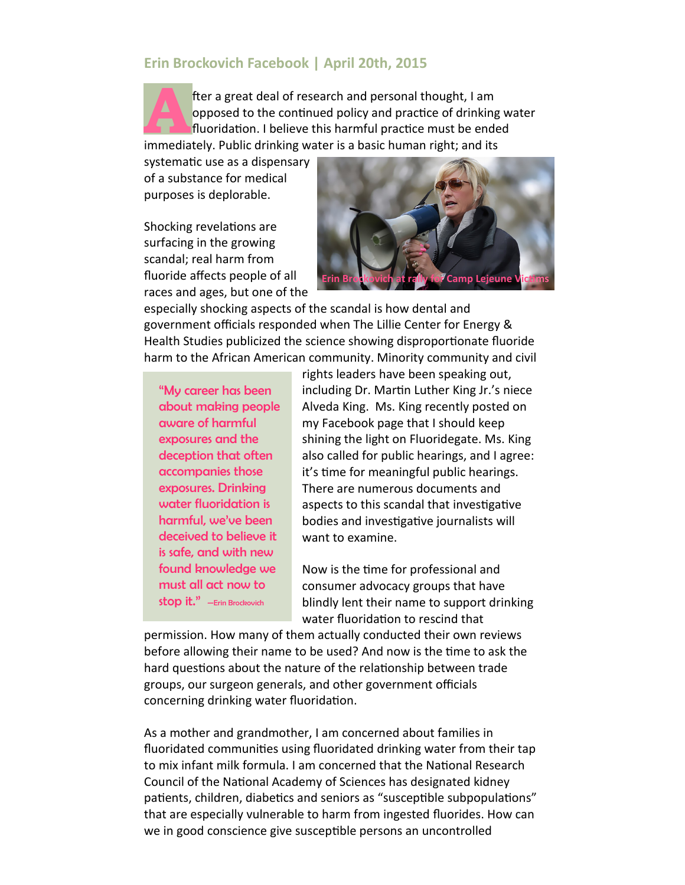## **Erin Brockovich Facebook | April 20th, 2015**

**A** fter a great deal of research and personal thought, I am opposed to the continued policy and practice of drinking water fluoridation. I believe this harmful practice must be ended immediately. Public drinking water is a basic human right; and its

systematic use as a dispensary of a substance for medical purposes is deplorable.

Shocking revelations are surfacing in the growing scandal; real harm from fluoride affects people of all races and ages, but one of the



especially shocking aspects of the scandal is how dental and government officials responded when The Lillie Center for Energy & Health Studies publicized the science showing disproportionate fluoride harm to the African American community. Minority community and civil

"My career has been about making people aware of harmful exposures and the deception that often accompanies those exposures. Drinking water fluoridation is harmful, we've been deceived to believe it is safe, and with new found knowledge we must all act now to stop it." —Erin Brockovich

rights leaders have been speaking out, including Dr. Martin Luther King Jr.'s niece Alveda King. Ms. King recently posted on my Facebook page that I should keep shining the light on Fluoridegate. Ms. King also called for public hearings, and I agree: it's time for meaningful public hearings. There are numerous documents and aspects to this scandal that investigative bodies and investigative journalists will want to examine.

Now is the time for professional and consumer advocacy groups that have blindly lent their name to support drinking water fluoridation to rescind that

permission. How many of them actually conducted their own reviews before allowing their name to be used? And now is the time to ask the hard questions about the nature of the relationship between trade groups, our surgeon generals, and other government officials concerning drinking water fluoridation.

As a mother and grandmother, I am concerned about families in fluoridated communities using fluoridated drinking water from their tap to mix infant milk formula. I am concerned that the National Research Council of the National Academy of Sciences has designated kidney patients, children, diabetics and seniors as "susceptible subpopulations" that are especially vulnerable to harm from ingested fluorides. How can we in good conscience give susceptible persons an uncontrolled